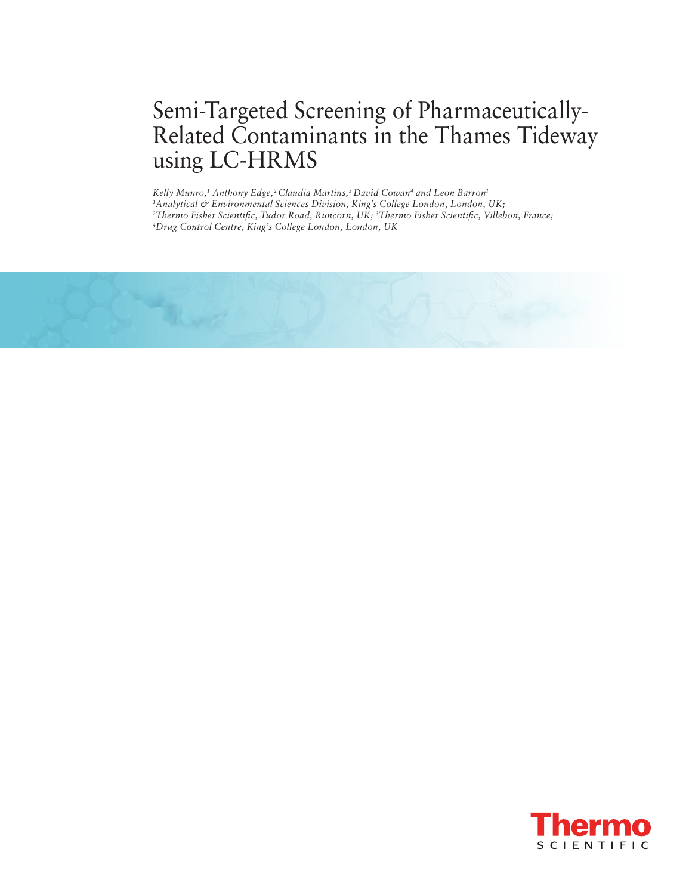# Semi-Targeted Screening of Pharmaceutically-Related Contaminants in the Thames Tideway using LC-HRMS

*Kelly Munro,1 Anthony Edge,2 Claudia Martins,3 David Cowan4 and Leon Barron1 1Analytical & Environmental Sciences Division, King's College London, London, UK; 2Thermo Fisher Scientific, Tudor Road, Runcorn, UK; 3Thermo Fisher Scientific, Villebon, France; 4Drug Control Centre, King's College London, London, UK*



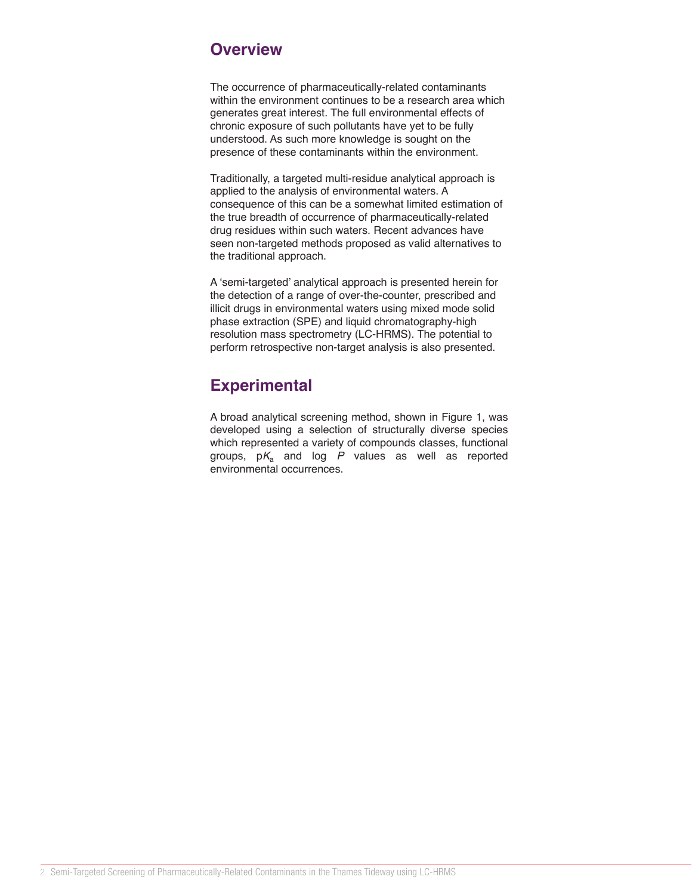### **Overview**

The occurrence of pharmaceutically -related contaminants within the environment continues to be a research area which generates great interest. The full environmental effects of chronic exposure of such pollutants have yet to be fully understood. As such more knowledge is sought on the presence of these contaminants within the environment.

Traditionally, a targeted multi -residue analytical approach is applied to the analysis of environmental waters. A consequence of this can be a somewhat limited estimation of the true breadth of occurrence of pharmaceutically -related drug residues within such waters. Recent advances have seen non -targeted methods proposed as valid alternatives to the traditional approach.

A ʻsemi -targeted' analytical approach is presented herein for the detection of a range of over -the -counter, prescribed and illicit drugs in environmental waters using mixed mode solid phase extraction (SPE) and liquid chromatography -high resolution mass spectrometry (LC -HRMS). The potential to perform retrospective non -target analysis is also presented.

## **Experimental**

A broad analytical screening method, shown in Figure 1 , was developed using a selection of structurally diverse species which represented a variety of compounds classes, functional groups, p *K*<sup>a</sup> and log *P* values as well as reported environmental occurrences .

1<br>1000<br>1000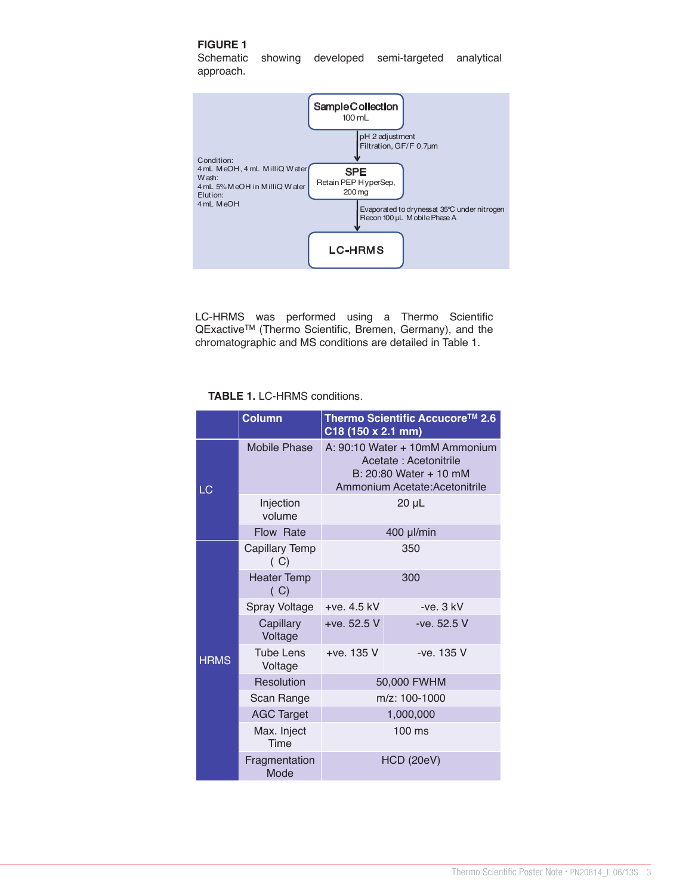#### **FIGURE 1**

Schematic showing developed semi-targeted analytical approach.



LC-HRMS was performed using a Thermo Scientific QExactiveTM (Thermo Scientific, Bremen, Germany), and the chromatographic and MS conditions are detailed in Table 1.

#### **TABLE 1.** LC-HRMS conditions.

|             | <b>Column</b>               | Thermo Scientific Accucore™ 2.6<br>C18 (150 x 2.1 mm)                                                               |             |
|-------------|-----------------------------|---------------------------------------------------------------------------------------------------------------------|-------------|
| LC          | Mobile Phase                | A: 90:10 Water + 10mM Ammonium<br>Acetate: Acetonitrile<br>B: 20:80 Water + 10 mM<br>Ammonium Acetate: Acetonitrile |             |
|             | Injection<br>volume         | $20 \mu L$                                                                                                          |             |
|             | Flow Rate                   | 400 µl/min                                                                                                          |             |
| <b>HRMS</b> | Capillary Temp<br>(C)       | 350                                                                                                                 |             |
|             | <b>Heater Temp</b><br>(C)   | 300                                                                                                                 |             |
|             | Spray Voltage               | $+ve. 4.5$ kV                                                                                                       | $-ve.3$ kV  |
|             | Capillary<br>Voltage        | $+ve. 52.5 V$                                                                                                       | -ve. 52.5 V |
|             | <b>Tube Lens</b><br>Voltage | +ve. 135 V                                                                                                          | -ve. 135 V  |
|             | Resolution                  | 50,000 FWHM                                                                                                         |             |
|             | Scan Range                  | m/z: 100-1000                                                                                                       |             |
|             | <b>AGC Target</b>           | 1,000,000                                                                                                           |             |
|             | Max. Inject<br>Time         | $100$ ms                                                                                                            |             |
|             | Fragmentation<br>Mode       | <b>HCD (20eV)</b>                                                                                                   |             |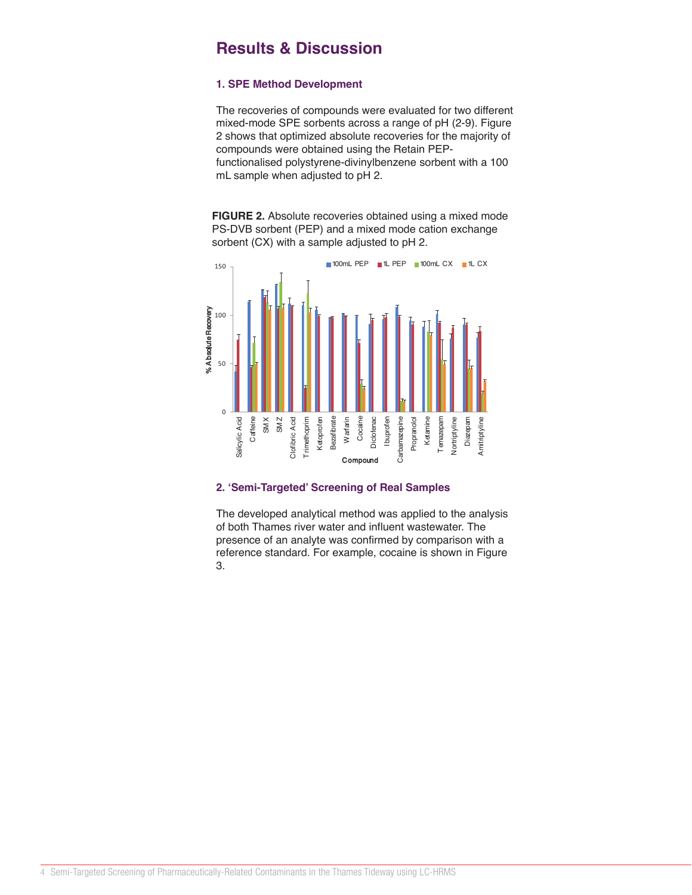### **Results & Discussion**

#### **1. SPE Method Development**

The recoveries of compounds were evaluated for two different mixed-mode SPE sorbents across a range of pH (2-9). Figure 2 shows that optimized absolute recoveries for the majority of compounds were obtained using the Retain PEPfunctionalised polystyrene-divinylbenzene sorbent with a 100 mL sample when adjusted to pH 2.

**FIGURE 2.** Absolute recoveries obtained using a mixed mode PS-DVB sorbent (PEP) and a mixed mode cation exchange sorbent (CX) with a sample adjusted to pH 2.



### **2. ʻSemi-Targeted' Screening of Real Samples**

The developed analytical method was applied to the analysis of both Thames river water and influent wastewater. The presence of an analyte was confirmed by comparison with a reference standard. For example, cocaine is shown in Figure 3.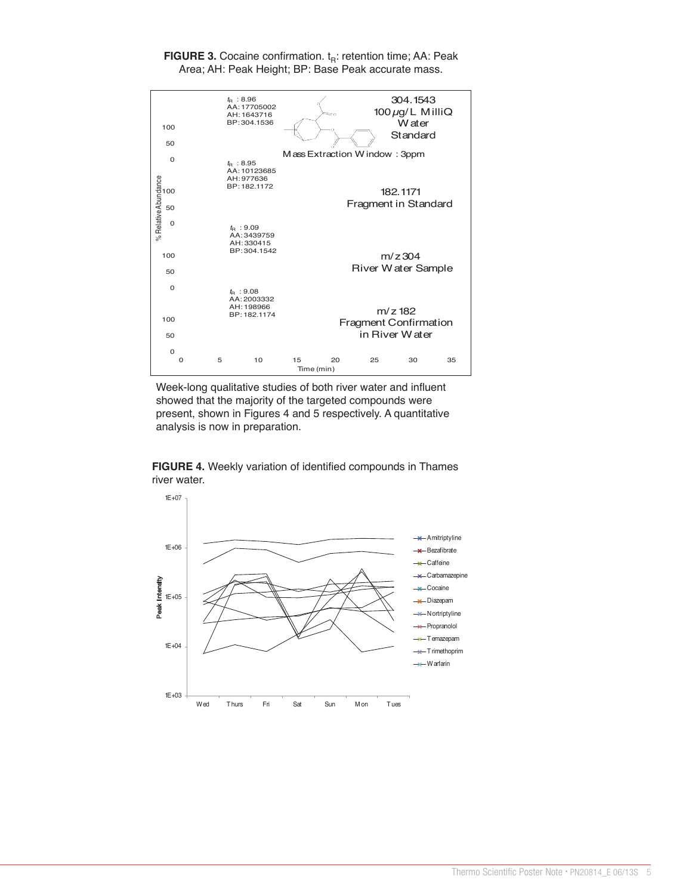

**FIGURE 3.** Cocaine confirmation. t<sub>R</sub>: retention time; AA: Peak Area; AH: Peak Height; BP: Base Peak accurate mass.

Week-long qualitative studies of both river water and influent showed that the majority of the targeted compounds were present, shown in Figures 4 and 5 respectively. A quantitative analysis is now in preparation.

**FIGURE 4.** Weekly variation of identified compounds in Thames river water.

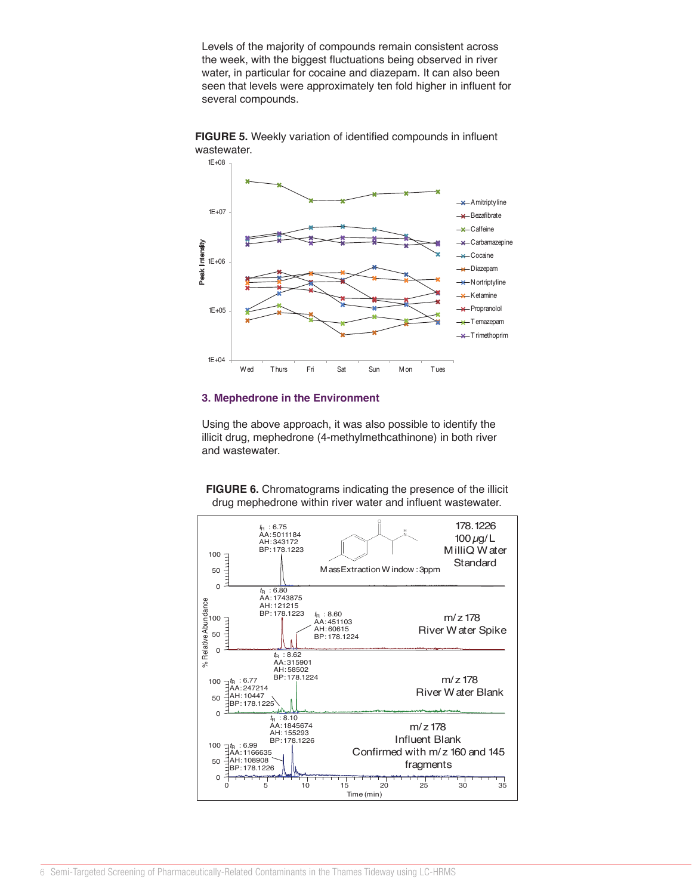Levels of the majority of compounds remain consistent across the week, with the biggest fluctuations being observed in river water, in particular for cocaine and diazepam. It can also been seen that levels were approximately ten fold higher in influent for several compounds.



**FIGURE 5.** Weekly variation of identified compounds in influent wastewater.

#### **3. Mephedrone in the Environment**

Using the above approach, it was also possible to identify the illicit drug, mephedrone (4-methylmethcathinone) in both river and wastewater.

**FIGURE 6.** Chromatograms indicating the presence of the illicit drug mephedrone within river water and influent wastewater.